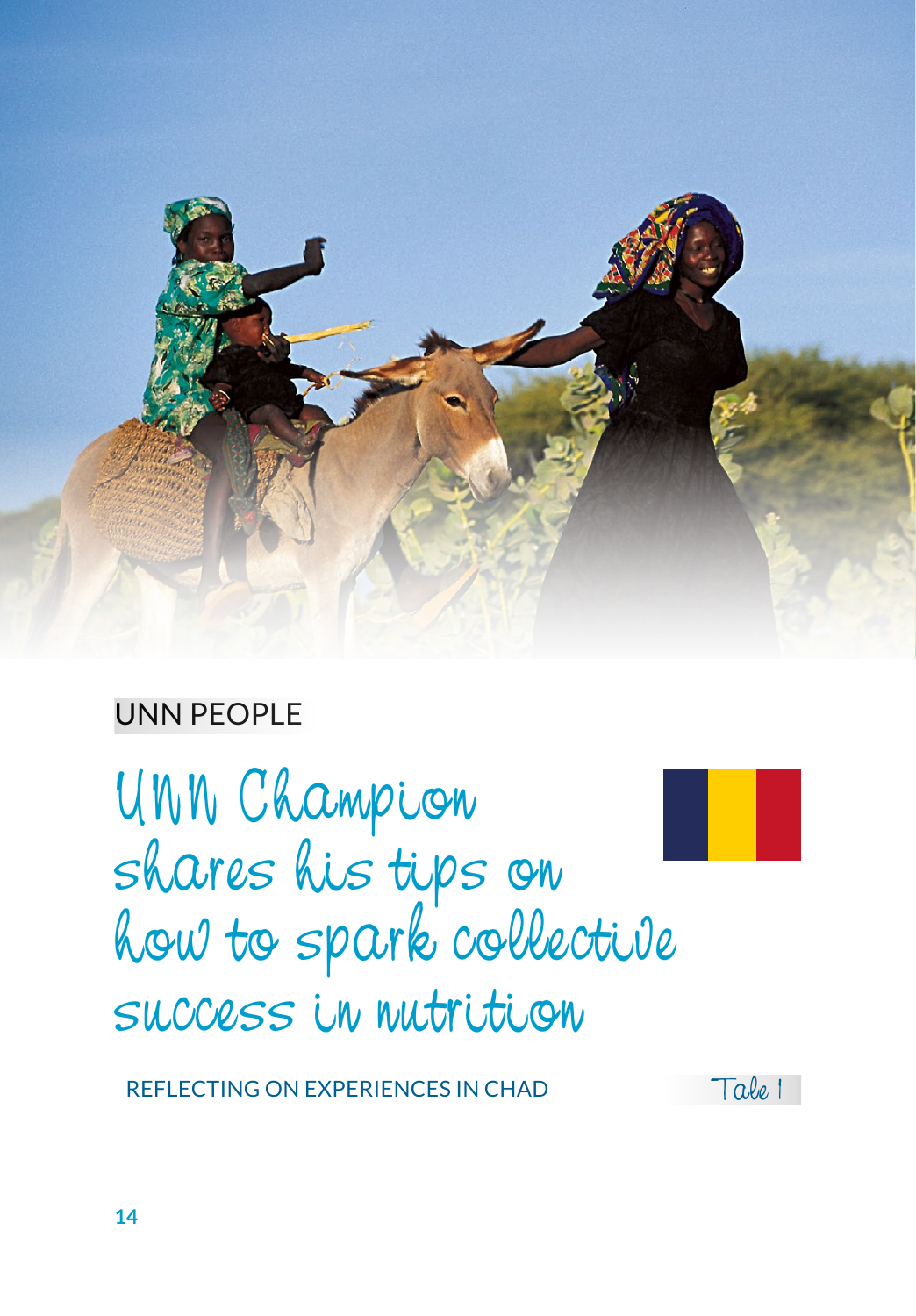

# UNN PEOPLE

UNN Champion shares his tips on how to spark collective success in nutrition

REFLECTING ON EXPERIENCES IN CHAD Tale 1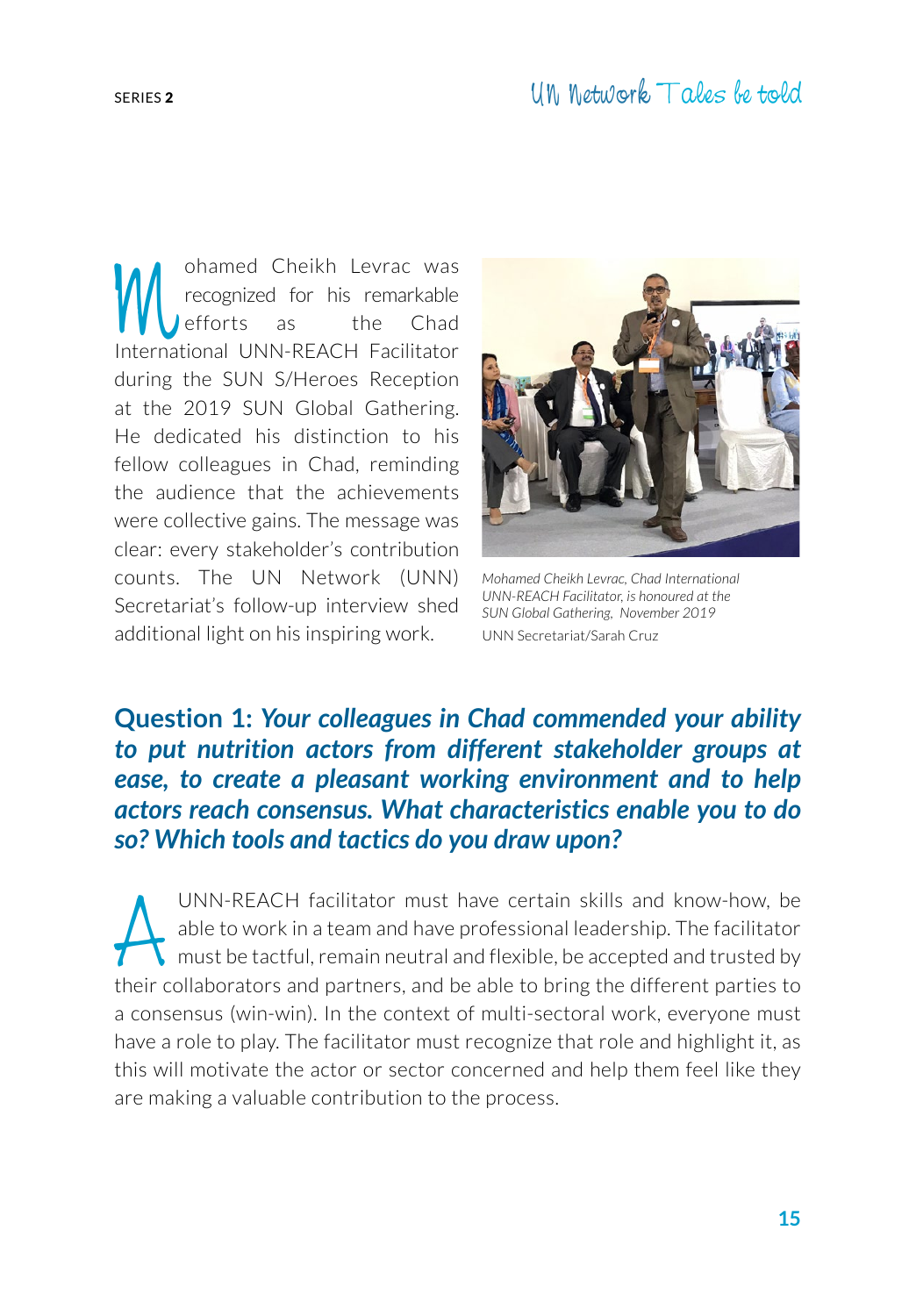Mohamed Cheikh Levrac was<br>recognized for his remarkable<br>lefforts as the Chad<br>International UNN-REACH Eacilitator recognized for his remarkable efforts as the Chad International UNN-REACH Facilitator during the SUN S/Heroes Reception at the 2019 SUN Global Gathering. He dedicated his distinction to his fellow colleagues in Chad, reminding the audience that the achievements were collective gains. The message was clear: every stakeholder's contribution counts. The UN Network (UNN) Secretariat's follow-up interview shed additional light on his inspiring work.



*Mohamed Cheikh Levrac, Chad International UNN-REACH Facilitator, is honoured at the SUN Global Gathering, November 2019* UNN Secretariat/Sarah Cruz

# **Question 1:** *Your colleagues in Chad commended your ability to put nutrition actors from different stakeholder groups at ease, to create a pleasant working environment and to help actors reach consensus. What characteristics enable you to do so? Which tools and tactics do you draw upon?*

UNN-REACH facilitator must have certain skills and know-how, be<br>able to work in a team and have professional leadership. The facilitator<br>must be tactful, remain neutral and flexible, be accepted and trusted by<br>their collab able to work in a team and have professional leadership. The facilitator must be tactful, remain neutral and flexible, be accepted and trusted by their collaborators and partners, and be able to bring the different parties to a consensus (win-win). In the context of multi-sectoral work, everyone must have a role to play. The facilitator must recognize that role and highlight it, as this will motivate the actor or sector concerned and help them feel like they are making a valuable contribution to the process.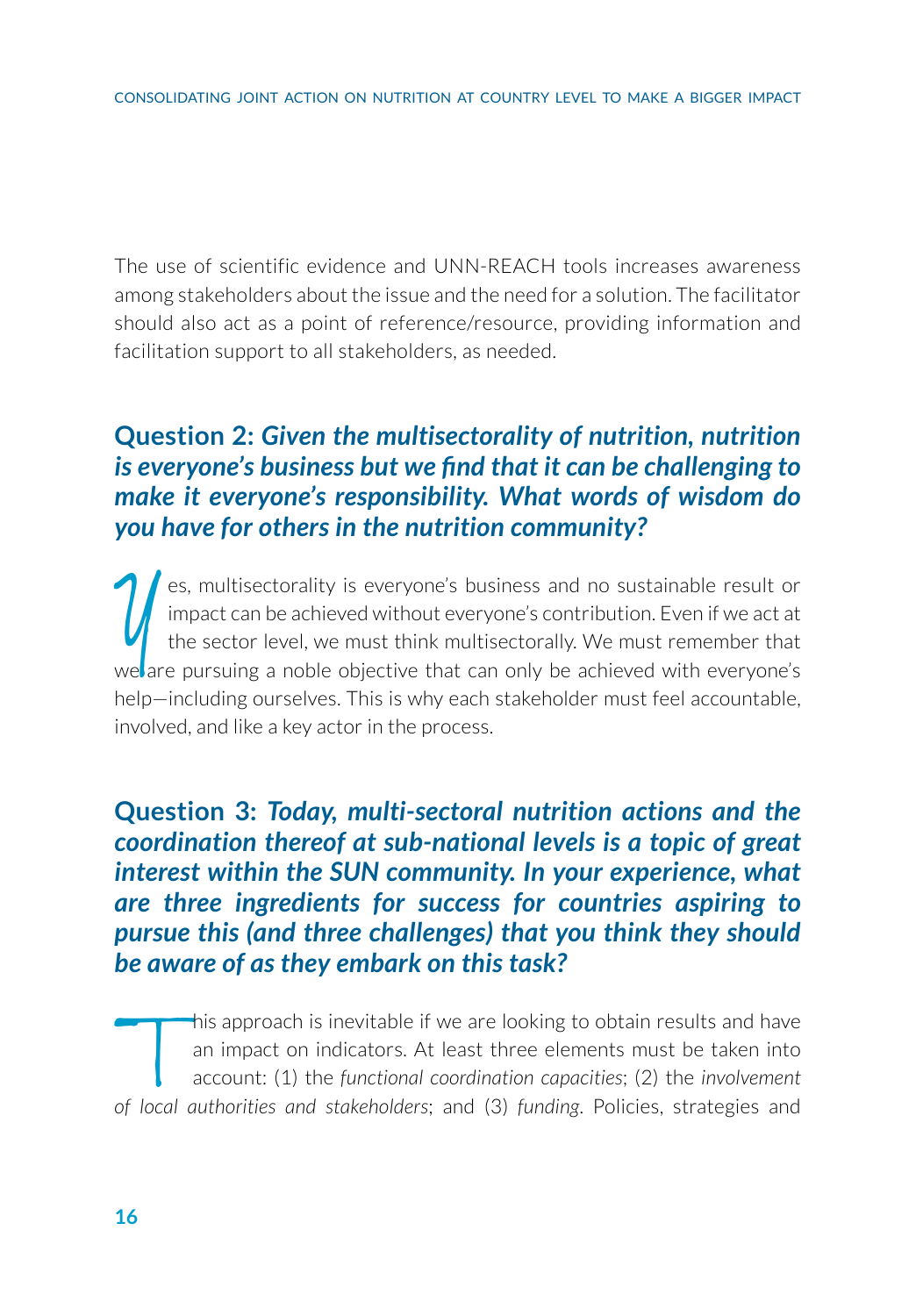The use of scientific evidence and UNN-REACH tools increases awareness among stakeholders about the issue and the need for a solution. The facilitator should also act as a point of reference/resource, providing information and facilitation support to all stakeholders, as needed.

# **Question 2:** *Given the multisectorality of nutrition, nutrition is everyone's business but we find that it can be challenging to make it everyone's responsibility. What words of wisdom do you have for others in the nutrition community?*

es, multisectorality is everyone's business and no sustainable result or impact can be achieved without everyone's contribution. Even if we act at the sector level, we must think multisectorally. We must remember that we a es, multisectorality is everyone's business and no sustainable result or impact can be achieved without everyone's contribution. Even if we act at the sector level, we must think multisectorally. We must remember that help—including ourselves. This is why each stakeholder must feel accountable, involved, and like a key actor in the process.

**Question 3:** *Today, multi-sectoral nutrition actions and the coordination thereof at sub-national levels is a topic of great interest within the SUN community. In your experience, what are three ingredients for success for countries aspiring to pursue this (and three challenges) that you think they should be aware of as they embark on this task?* 

This approach is inevitable if we are looking to obtain results and have<br>an impact on indicators. At least three elements must be taken into<br>account: (1) the *functional coordination capacities*; (2) the *involvement*<br>of l an impact on indicators. At least three elements must be taken into account: (1) the *functional coordination capacities*; (2) the *involvement of local authorities and stakeholders*; and (3) *funding*. Policies, strategies and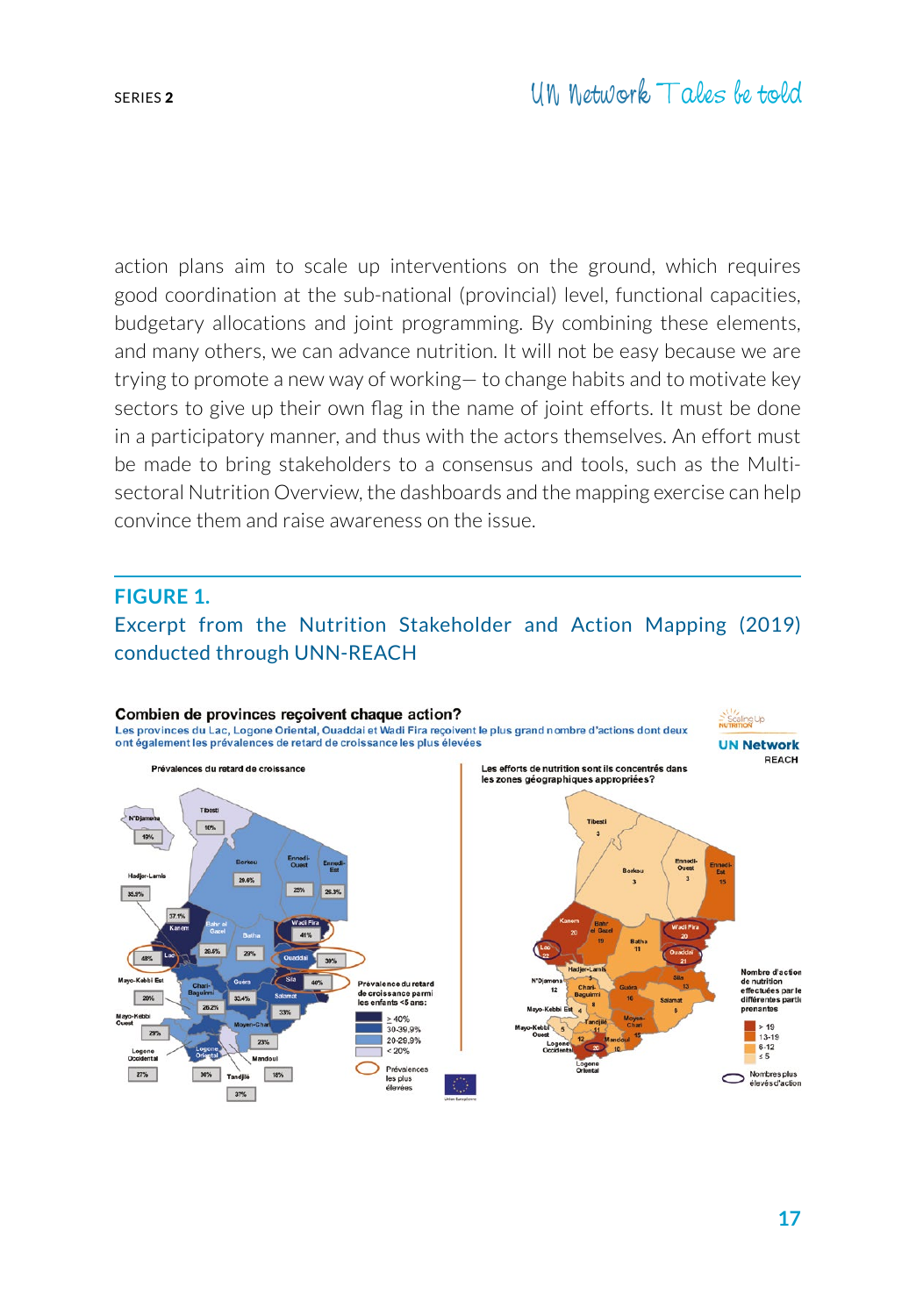action plans aim to scale up interventions on the ground, which requires good coordination at the sub-national (provincial) level, functional capacities, budgetary allocations and joint programming. By combining these elements, and many others, we can advance nutrition. It will not be easy because we are trying to promote a new way of working— to change habits and to motivate key sectors to give up their own flag in the name of joint efforts. It must be done in a participatory manner, and thus with the actors themselves. An effort must be made to bring stakeholders to a consensus and tools, such as the Multisectoral Nutrition Overview, the dashboards and the mapping exercise can help convince them and raise awareness on the issue.

#### **FIGURE 1.**

Excerpt from the Nutrition Stakeholder and Action Mapping (2019) conducted through UNN-REACH

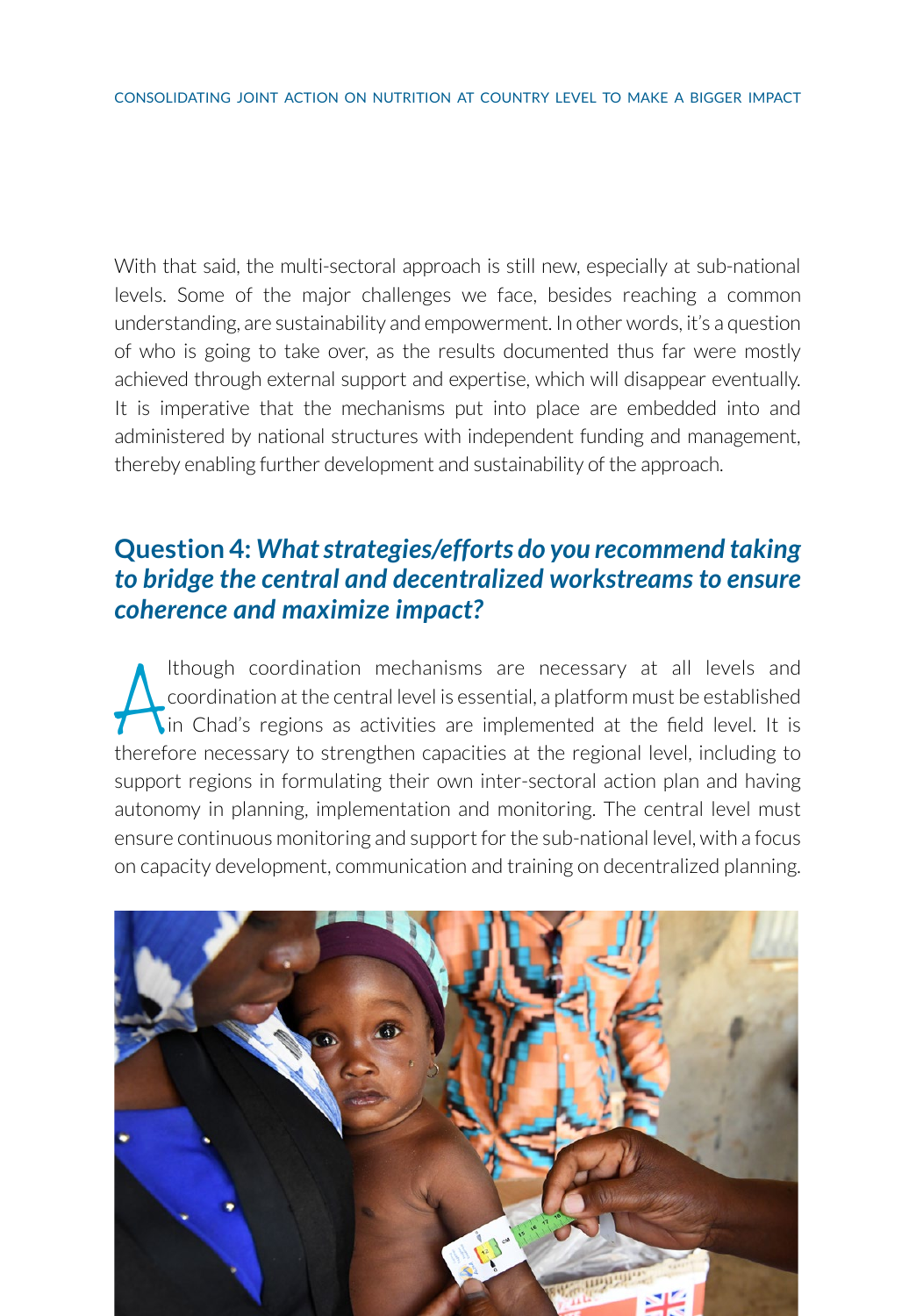With that said, the multi-sectoral approach is still new, especially at sub-national levels. Some of the major challenges we face, besides reaching a common understanding, are sustainability and empowerment. In other words, it's a question of who is going to take over, as the results documented thus far were mostly achieved through external support and expertise, which will disappear eventually. It is imperative that the mechanisms put into place are embedded into and administered by national structures with independent funding and management, thereby enabling further development and sustainability of the approach.

### **Question 4:** *What strategies/efforts do you recommend taking to bridge the central and decentralized workstreams to ensure coherence and maximize impact?*

Ithough coordination mechanisms are necessary at all levels and coordination at the central level is essential, a platform must be established in Chad's regions as activities are implemented at the field level. It is there lthough coordination mechanisms are necessary at all levels and coordination at the central level is essential, a platform must be established In Chad's regions as activities are implemented at the field level. It is support regions in formulating their own inter-sectoral action plan and having autonomy in planning, implementation and monitoring. The central level must ensure continuous monitoring and support for the sub-national level, with a focus on capacity development, communication and training on decentralized planning.